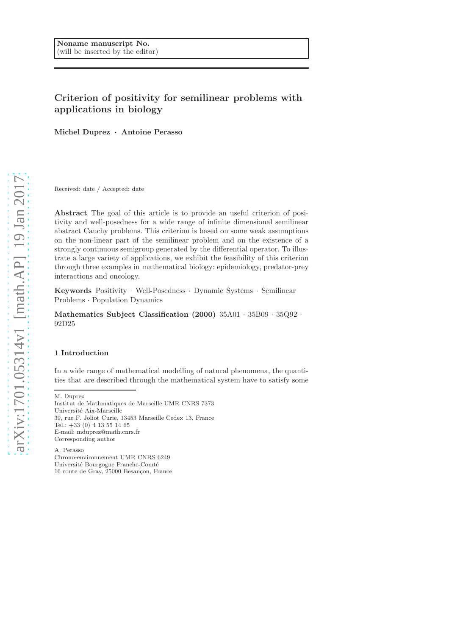# Criterion of positivity for semilinear problems with applications in biology

Michel Duprez · Antoine Perasso

Received: date / Accepted: date

Abstract The goal of this article is to provide an useful criterion of positivity and well-posedness for a wide range of infinite dimensional semilinear abstract Cauchy problems. This criterion is based on some weak assumptions on the non-linear part of the semilinear problem and on the existence of a strongly continuous semigroup generated by the differential operator. To illustrate a large variety of applications, we exhibit the feasibility of this criterion through three examples in mathematical biology: epidemiology, predator-prey interactions and oncology.

Keywords Positivity · Well-Posedness · Dynamic Systems · Semilinear Problems · Population Dynamics

Mathematics Subject Classification (2000) 35A01 · 35B09 · 35Q92 · 92D25

## 1 Introduction

In a wide range of mathematical modelling of natural phenomena, the quantities that are described through the mathematical system have to satisfy some

Institut de Mathmatiques de Marseille UMR CNRS 7373 Université Aix-Marseille 39, rue F. Joliot Curie, 13453 Marseille Cedex 13, France Tel.: +33 (0) 4 13 55 14 65 E-mail: mduprez@math.cnrs.fr Corresponding author

A. Perasso

Chrono-environnement UMR CNRS 6249 Université Bourgogne Franche-Comté 16 route de Gray, 25000 Besançon, France

M. Duprez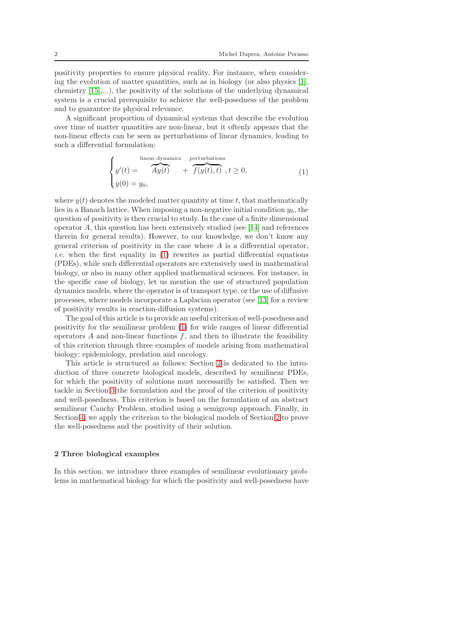positivity properties to ensure physical reality. For instance, when considering the evolution of matter quantities, such as in biology (or also physics [\[1\]](#page-8-0), chemistry  $[15]$ ,...), the positivity of the solutions of the underlying dynamical system is a crucial prerequisite to achieve the well-posedness of the problem and to guarantee its physical relevance.

A significant proportion of dynamical systems that describe the evolution over time of matter quantities are non-linear, but it oftenly appears that the non-linear effects can be seen as perturbations of linear dynamics, leading to such a differential formulation:

<span id="page-1-0"></span>
$$
\begin{cases}\ny'(t) = \overbrace{Ay(t)}^{\text{linear dynamics} \atop \text{perturbations}} + \overbrace{f(y(t),t)}^{\text{perturbations}}, t \ge 0, \\
y(0) = y_0,\n\end{cases} \tag{1}
$$

where  $y(t)$  denotes the modeled matter quantity at time t, that mathematically lies in a Banach lattice. When imposing a non-negative initial condition  $y_0$ , the question of positivity is then crucial to study. In the case of a finite dimensional operator A, this question has been extensively studied (see [\[14\]](#page-9-1) and references therein for general results). However, to our knowledge, we don't know any general criterion of positivity in the case where  $A$  is a differential operator, *i.e.* when the first equality in  $(1)$  rewrites as partial differential equations (PDEs), while such differential operators are extensively used in mathematical biology, or also in many other applied mathematical sciences. For instance, in the specific case of biology, let us mention the use of structured population dynamics models, where the operator is of transport type, or the use of diffusive processes, where models incorporate a Laplacian operator (see [\[13\]](#page-9-2) for a review of positivity results in reaction-diffusion systems).

The goal of this article is to provide an useful criterion of well-posedness and positivity for the semilinear problem [\(1\)](#page-1-0) for wide ranges of linear differential operators  $A$  and non-linear functions  $f$ , and then to illustrate the feasibility of this criterion through three examples of models arising from mathematical biology: epidemiology, predation and oncology.

This article is structured as follows: Section [2](#page-1-1) is dedicated to the introduction of three concrete biological models, described by semilinear PDEs, for which the positivity of solutions must necessarilly be satisfied. Then we tackle in Section [3](#page-4-0) the formulation and the proof of the criterion of positivity and well-posedness. This criterion is based on the formulation of an abstract semilinear Cauchy Problem, studied using a semigroup approach. Finally, in Section [4,](#page-7-0) we apply the criterion to the biological models of Section [2](#page-1-1) to prove the well-posedness and the positivity of their solution.

### <span id="page-1-1"></span>2 Three biological examples

In this section, we introduce three examples of semilinear evolutionary problems in mathematical biology for which the positivity and well-posedness have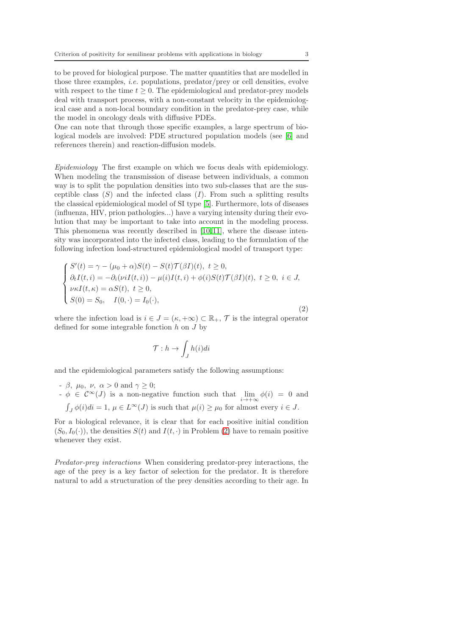to be proved for biological purpose. The matter quantities that are modelled in those three examples, *i.e.* populations, predator/prey or cell densities, evolve with respect to the time  $t \geq 0$ . The epidemiological and predator-prey models deal with transport process, with a non-constant velocity in the epidemiological case and a non-local boundary condition in the predator-prey case, while the model in oncology deals with diffusive PDEs.

One can note that through those specific examples, a large spectrum of biological models are involved: PDE structured population models (see [\[6\]](#page-8-1) and references therein) and reaction-diffusion models.

Epidemiology The first example on which we focus deals with epidemiology. When modeling the transmission of disease between individuals, a common way is to split the population densities into two sub-classes that are the susceptible class  $(S)$  and the infected class  $(I)$ . From such a splitting results the classical epidemiological model of SI type [\[5\]](#page-8-2). Furthermore, lots of diseases (influenza, HIV, prion pathologies...) have a varying intensity during their evolution that may be important to take into account in the modeling process. This phenomena was recently described in [\[10,](#page-9-3)[11\]](#page-9-4), where the disease intensity was incorporated into the infected class, leading to the formulation of the following infection load-structured epidemiological model of transport type:

<span id="page-2-0"></span>
$$
\begin{cases}\nS'(t) = \gamma - (\mu_0 + \alpha)S(t) - S(t)\mathcal{T}(\beta I)(t), \ t \ge 0, \\
\partial_t I(t, i) = -\partial_i(\nu i I(t, i)) - \mu(i)I(t, i) + \phi(i)S(t)\mathcal{T}(\beta I)(t), \ t \ge 0, \ i \in J, \\
\nu \kappa I(t, \kappa) = \alpha S(t), \ t \ge 0, \\
S(0) = S_0, \quad I(0, \cdot) = I_0(\cdot),\n\end{cases}
$$
\n(2)

where the infection load is  $i \in J = (\kappa, +\infty) \subset \mathbb{R}_+, \mathcal{T}$  is the integral operator defined for some integrable fonction  $h$  on  $J$  by

$$
\mathcal{T}: h \to \int_J h(i)di
$$

and the epidemiological parameters satisfy the following assumptions:

- $\beta$ ,  $\mu_0$ ,  $\nu$ ,  $\alpha > 0$  and  $\gamma \geq 0$ ;
- $\phi \in C^{\infty}(J)$  is a non-negative function such that  $\lim_{i \to +\infty} \phi(i) = 0$  and  $\int_J \phi(i)di = 1, \, \mu \in L^\infty(J)$  is such that  $\mu(i) \geq \mu_0$  for almost every  $i \in J$ .

For a biological relevance, it is clear that for each positive initial condition  $(S_0, I_0(\cdot))$ , the densities  $S(t)$  and  $I(t, \cdot)$  in Problem [\(2\)](#page-2-0) have to remain positive whenever they exist.

Predator-prey interactions When considering predator-prey interactions, the age of the prey is a key factor of selection for the predator. It is therefore natural to add a structuration of the prey densities according to their age. In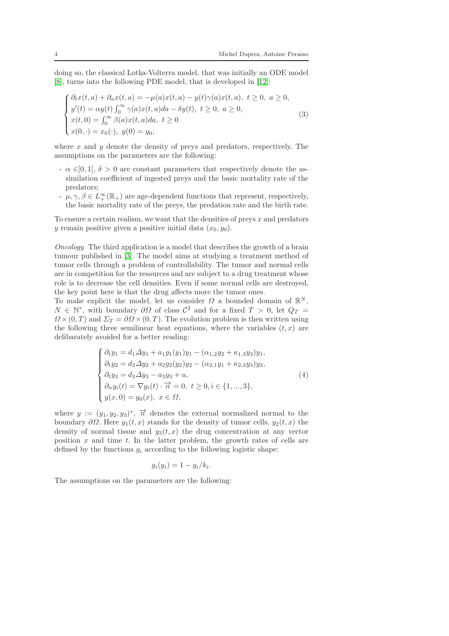doing so, the classical Lotka-Volterra model, that was initially an ODE model [\[8\]](#page-9-5), turns into the following PDE model, that is developed in [\[12\]](#page-9-6):

<span id="page-3-0"></span>
$$
\begin{cases}\n\partial_t x(t,a) + \partial_a x(t,a) = -\mu(a)x(t,a) - y(t)\gamma(a)x(t,a), \ t \ge 0, \ a \ge 0, \\
y'(t) = \alpha y(t) \int_0^\infty \gamma(a)x(t,a)da - \delta y(t), \ t \ge 0, \ a \ge 0, \\
x(t,0) = \int_0^\infty \beta(a)x(t,a)da, \ t \ge 0 \\
x(0,\cdot) = x_0(\cdot), \ y(0) = y_0,\n\end{cases} \tag{3}
$$

where  $x$  and  $y$  denote the density of preys and predators, respectively. The assumptions on the parameters are the following:

- $\alpha \in ]0,1[, \delta > 0$  are constant parameters that respectively denote the assimilation coefficient of ingested preys and the basic mortality rate of the predators;
- $\mu, \gamma, \beta \in L^{\infty}_+(\mathbb{R}_+)$  are age-dependent functions that represent, respectively, the basic mortality rate of the preys, the predation rate and the birth rate.

To ensure a certain realism, we want that the densities of preys  $x$  and predators y remain positive given a positive initial data  $(x_0, y_0)$ .

Oncology The third application is a model that describes the growth of a brain tumour published in [\[3\]](#page-8-3). The model aims at studying a treatment method of tumor cells through a problem of controllability. The tumor and normal cells are in competition for the resources and are subject to a drug treatment whose role is to decrease the cell densities. Even if some normal cells are destroyed, the key point here is that the drug affects more the tumor ones.

To make explicit the model, let us consider  $\Omega$  a bounded domain of  $\mathbb{R}^N$ ,  $N \in \mathbb{N}^*$ , with boundary  $\partial \Omega$  of class  $\mathcal{C}^2$  and for a fixed  $T > 0$ , let  $Q_T =$  $\Omega \times (0, T)$  and  $\Sigma_T = \partial \Omega \times (0, T)$ . The evolution problem is then written using the following three semilinear heat equations, where the variables  $(t, x)$  are delibarately avoided for a better reading:

<span id="page-3-1"></span>
$$
\begin{cases}\n\partial_t y_1 = d_1 \Delta y_1 + a_1 g_1(y_1) y_1 - (\alpha_{1,2} y_2 + \kappa_{1,3} y_3) y_1, \\
\partial_t y_2 = d_2 \Delta y_2 + a_2 g_2(y_2) y_2 - (\alpha_{2,1} y_1 + \kappa_{2,3} y_3) y_2, \\
\partial_t y_3 = d_3 \Delta y_3 - a_3 y_3 + u, \\
\partial_n y_i(t) = \nabla y_i(t) \cdot \overrightarrow{n} = 0, \ t \ge 0, i \in \{1, ..., 3\}, \\
y(x, 0) = y_0(x), \ x \in \Omega,\n\end{cases}
$$
\n(4)

where  $y := (y_1, y_2, y_3)^*$ ,  $\overrightarrow{n}$  denotes the external normalized normal to the boundary  $\partial\Omega$ . Here  $y_1(t, x)$  stands for the density of tumor cells,  $y_2(t, x)$  the density of normal tissue and  $y_3(t, x)$  the drug concentration at any vector position  $x$  and time  $t$ . In the latter problem, the growth rates of cells are defined by the functions  $g_i$  according to the following logistic shape:

$$
g_i(y_i) = 1 - y_i/k_i.
$$

The assumptions on the parameters are the following: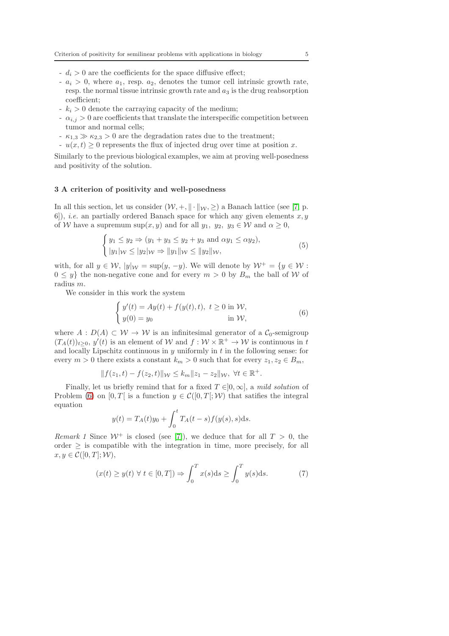- $-d_i > 0$  are the coefficients for the space diffusive effect;
- $a_i > 0$ , where  $a_1$ , resp.  $a_2$ , denotes the tumor cell intrinsic growth rate, resp. the normal tissue intrinsic growth rate and  $a_3$  is the drug reabsorption coefficient;
- $k_i > 0$  denote the carraying capacity of the medium;
- $\alpha_{i,j} > 0$  are coefficients that translate the interspecific competition between tumor and normal cells;
- $-\kappa_{1,3} \gg \kappa_{2,3} > 0$  are the degradation rates due to the treatment;
- $u(x, t) \geq 0$  represents the flux of injected drug over time at position x.

Similarly to the previous biological examples, we aim at proving well-posedness and positivity of the solution.

#### <span id="page-4-0"></span>3 A criterion of positivity and well-posedness

In all this section, let us consider  $(W, +, \|\cdot\|_{W}, \geq)$  a Banach lattice (see [\[7,](#page-8-4) p. 6]), *i.e.* an partially ordered Banach space for which any given elements  $x, y$ of W have a supremum sup $(x, y)$  and for all  $y_1, y_2, y_3 \in W$  and  $\alpha \geq 0$ ,

$$
\begin{cases} y_1 \le y_2 \Rightarrow (y_1 + y_3 \le y_2 + y_3 \text{ and } \alpha y_1 \le \alpha y_2), \\ |y_1|_{\mathcal{W}} \le |y_2|_{\mathcal{W}} \Rightarrow ||y_1||_{\mathcal{W}} \le ||y_2||_{\mathcal{W}}, \end{cases} \tag{5}
$$

with, for all  $y \in \mathcal{W}$ ,  $|y|_{\mathcal{W}} = \sup(y, -y)$ . We will denote by  $\mathcal{W}^+ = \{y \in \mathcal{W}$ :  $0 \leq y$  the non-negative cone and for every  $m > 0$  by  $B_m$  the ball of W of radius m.

We consider in this work the system

<span id="page-4-1"></span>
$$
\begin{cases}\ny'(t) = Ay(t) + f(y(t), t), \ t \ge 0 \text{ in } \mathcal{W}, \\
y(0) = y_0 \qquad \text{in } \mathcal{W},\n\end{cases}
$$
\n(6)

where  $A: D(A) \subset W \to W$  is an infinitesimal generator of a  $C_0$ -semigroup  $(T_A(t))_{t\geq 0}, y'(t)$  is an element of W and  $f: \mathcal{W} \times \mathbb{R}^+ \to \mathcal{W}$  is continuous in t and locally Lipschitz continuous in  $y$  uniformly in  $t$  in the following sense: for every  $m > 0$  there exists a constant  $k_m > 0$  such that for every  $z_1, z_2 \in B_m$ ,

$$
|| f(z_1, t) - f(z_2, t) ||_{\mathcal{W}} \le k_m ||z_1 - z_2||_{\mathcal{W}}, \ \forall t \in \mathbb{R}^+.
$$

Finally, let us briefly remind that for a fixed  $T \in ]0, \infty]$ , a mild solution of Problem [\(6\)](#page-4-1) on [0, T[ is a function  $y \in \mathcal{C}([0,T];\mathcal{W})$  that satifies the integral equation

$$
y(t) = T_A(t)y_0 + \int_0^t T_A(t-s)f(y(s),s)ds.
$$

Remark 1 Since  $W^+$  is closed (see [\[7\]](#page-8-4)), we deduce that for all  $T > 0$ , the order  $\geq$  is compatible with the integration in time, more precisely, for all  $x, y \in \mathcal{C}([0,T]; \mathcal{W}),$ 

$$
(x(t) \ge y(t) \forall t \in [0, T]) \Rightarrow \int_0^T x(s)ds \ge \int_0^T y(s)ds.
$$
 (7)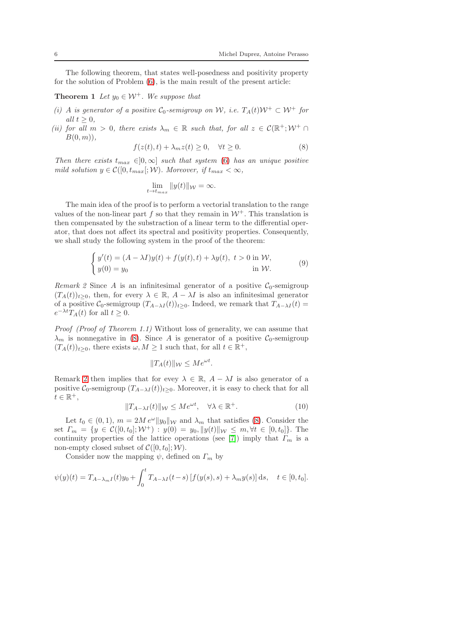The following theorem, that states well-posedness and positivity property for the solution of Problem [\(6\)](#page-4-1), is the main result of the present article:

**Theorem 1** Let  $y_0 \in \mathcal{W}^+$ . We suppose that

- (i) A is generator of a positive  $C_0$ -semigroup on W, i.e.  $T_A(t)W^+ \subset W^+$  for all  $t > 0$ .
- (ii) for all  $m > 0$ , there exists  $\lambda_m \in \mathbb{R}$  such that, for all  $z \in \mathcal{C}(\mathbb{R}^+; \mathcal{W}^+ \cap \mathbb{R}^+)$  $B(0, m)$ ,

<span id="page-5-4"></span><span id="page-5-0"></span>
$$
f(z(t),t) + \lambda_m z(t) \ge 0, \quad \forall t \ge 0.
$$
 (8)

Then there exists  $t_{max} \in ]0,\infty]$  such that system [\(6\)](#page-4-1) has an unique positive mild solution  $y \in \mathcal{C}([0, t_{max}]; \mathcal{W})$ . Moreover, if  $t_{max} < \infty$ ,

$$
\lim_{t \to t_{max}} \|y(t)\|_{\mathcal{W}} = \infty.
$$

The main idea of the proof is to perform a vectorial translation to the range values of the non-linear part f so that they remain in  $\mathcal{W}^+$ . This translation is then compensated by the substraction of a linear term to the differential operator, that does not affect its spectral and positivity properties. Consequently, we shall study the following system in the proof of the theorem:

<span id="page-5-3"></span>
$$
\begin{cases}\ny'(t) = (A - \lambda I)y(t) + f(y(t), t) + \lambda y(t), \ t > 0 \text{ in } \mathcal{W}, \\
y(0) = y_0 \text{ in } \mathcal{W}.\n\end{cases}
$$
\n(9)

<span id="page-5-1"></span>Remark 2 Since A is an infinitesimal generator of a positive  $C_0$ -semigroup  $(T_A(t))_{t>0}$ , then, for every  $\lambda \in \mathbb{R}$ ,  $A - \lambda I$  is also an infinitesimal generator of a positive  $\mathcal{C}_0$ -semigroup  $(T_{A-\lambda I}(t))_{t\geq 0}$ . Indeed, we remark that  $T_{A-\lambda I}(t)$  =  $e^{-\lambda t}T_A(t)$  for all  $t \geq 0$ .

Proof (Proof of Theorem 1.1) Without loss of generality, we can assume that  $\lambda_m$  is nonnegative in [\(8\)](#page-5-0). Since A is generator of a positive C<sub>0</sub>-semigroup  $(T_A(t))_{t\geq 0}$ , there exists  $\omega, M \geq 1$  such that, for all  $t \in \mathbb{R}^+$ ,

$$
||T_A(t)||_{\mathcal{W}} \le Me^{\omega t}.
$$

Remark [2](#page-5-1) then implies that for evey  $\lambda \in \mathbb{R}$ ,  $A - \lambda I$  is also generator of a positive  $\mathcal{C}_0$ -semigroup  $(T_{A-\lambda I}(t))_{t\geq0}$ . Moreover, it is easy to check that for all  $t \in \mathbb{R}^+,$ 

<span id="page-5-2"></span>
$$
||T_{A-\lambda I}(t)||_{\mathcal{W}} \le Me^{\omega t}, \quad \forall \lambda \in \mathbb{R}^+.
$$
 (10)

Let  $t_0 \in (0, 1)$ ,  $m = 2M e^{\omega} ||y_0||_{\mathcal{W}}$  and  $\lambda_m$  that satisfies [\(8\)](#page-5-0). Consider the set  $\Gamma_m = \{y \in \mathcal{C}([0,t_0]; \mathcal{W}^+) : y(0) = y_0, \|y(t)\|_{\mathcal{W}} \leq m, \forall t \in [0,t_0]\}.$  The continuity properties of the lattice operations (see [\[7\]](#page-8-4)) imply that  $\Gamma_m$  is a non-empty closed subset of  $\mathcal{C}([0, t_0]; \mathcal{W})$ .

Consider now the mapping  $\psi$ , defined on  $\Gamma_m$  by

$$
\psi(y)(t) = T_{A-\lambda_m I}(t)y_0 + \int_0^t T_{A-\lambda I}(t-s) \left[ f(y(s), s) + \lambda_m y(s) \right] ds, \quad t \in [0, t_0].
$$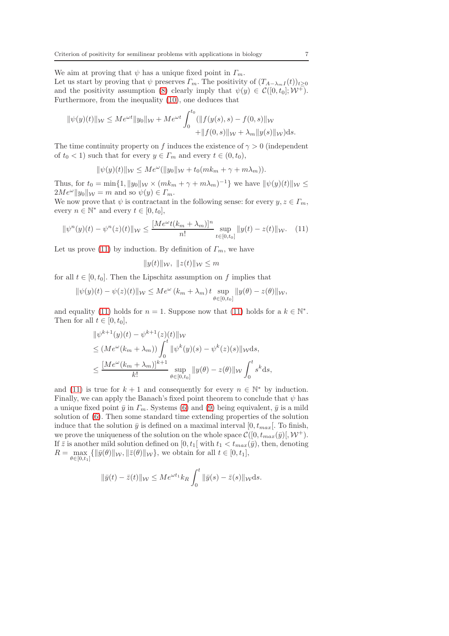We aim at proving that  $\psi$  has a unique fixed point in  $\Gamma_m$ . Let us start by proving that  $\psi$  preserves  $\Gamma_m$ . The positivity of  $(T_{A-\lambda_m I}(t))_{t\geq 0}$ and the positivity assumption [\(8\)](#page-5-0) clearly imply that  $\psi(y) \in C([0, t_0]; \mathcal{W}^+).$ Furthermore, from the inequality [\(10\)](#page-5-2), one deduces that

$$
\|\psi(y)(t)\|_{\mathcal{W}} \le Me^{\omega t} \|y_0\|_{\mathcal{W}} + Me^{\omega t} \int_0^{t_0} (\|f(y(s), s) - f(0, s)\|_{\mathcal{W}} + \|f(0, s)\|_{\mathcal{W}} + \lambda_m \|y(s)\|_{\mathcal{W}}) ds.
$$

The time continuity property on f induces the existence of  $\gamma > 0$  (independent of  $t_0 < 1$ ) such that for every  $y \in \Gamma_m$  and every  $t \in (0, t_0)$ ,

$$
\|\psi(y)(t)\|_{\mathcal{W}} \leq Me^{\omega}(\|y_0\|_{\mathcal{W}} + t_0(mk_m + \gamma + m\lambda_m)).
$$

Thus, for  $t_0 = \min\{1, ||y_0||_{\mathcal{W}} \times (mk_m + \gamma + m\lambda_m)^{-1}\}\$  we have  $||\psi(y)(t)||_{\mathcal{W}} \le$  $2Me^{\omega}||y_0||_{\mathcal{W}} = m$  and so  $\psi(y) \in \Gamma_m$ .

We now prove that  $\psi$  is contractant in the following sense: for every  $y, z \in \Gamma_m$ , every  $n \in \mathbb{N}^*$  and every  $t \in [0, t_0]$ ,

<span id="page-6-0"></span>
$$
\|\psi^n(y)(t) - \psi^n(z)(t)\|_{\mathcal{W}} \le \frac{[Me^{\omega}t(k_m + \lambda_m)]^n}{n!} \sup_{t \in [0, t_0]} \|y(t) - z(t)\|_{\mathcal{W}}.\tag{11}
$$

Let us prove [\(11\)](#page-6-0) by induction. By definition of  $\Gamma_m$ , we have

$$
||y(t)||_{\mathcal{W}}, ||z(t)||_{\mathcal{W}} \leq m
$$

for all  $t \in [0, t_0]$ . Then the Lipschitz assumption on f implies that

$$
\|\psi(y)(t)-\psi(z)(t)\|_{\mathcal{W}} \leq Me^{\omega}\left(k_m+\lambda_m\right)t \sup_{\theta \in [0,t_0]} \|y(\theta)-z(\theta)\|_{\mathcal{W}},
$$

and equality [\(11\)](#page-6-0) holds for  $n = 1$ . Suppose now that (11) holds for a  $k \in \mathbb{N}^*$ . Then for all  $t \in [0, t_0]$ ,

$$
\|\psi^{k+1}(y)(t) - \psi^{k+1}(z)(t)\|_{\mathcal{W}}\le (Me^{\omega}(k_m + \lambda_m)) \int_0^t \|\psi^k(y)(s) - \psi^k(z)(s)\|_{\mathcal{W}} ds,\le \frac{[Me^{\omega}(k_m + \lambda_m)]^{k+1}}{k!} \sup_{\theta \in [0, t_0]} \|y(\theta) - z(\theta)\|_{\mathcal{W}} \int_0^t s^k ds,
$$

and [\(11\)](#page-6-0) is true for  $k + 1$  and consequently for every  $n \in \mathbb{N}^*$  by induction. Finally, we can apply the Banach's fixed point theorem to conclude that  $\psi$  has a unique fixed point  $\bar{y}$  in  $\Gamma_m$ . Systems [\(6\)](#page-4-1) and [\(9\)](#page-5-3) being equivalent,  $\bar{y}$  is a mild solution of [\(6\)](#page-4-1). Then some standard time extending properties of the solution induce that the solution  $\bar{y}$  is defined on a maximal interval [0,  $t_{max}$ ]. To finish, we prove the uniqueness of the solution on the whole space  $\mathcal{C}([0, t_{max}(\bar{y})], \mathcal{W}^+).$ If  $\bar{z}$  is another mild solution defined on  $[0, t_1]$  with  $t_1 < t_{max}(\bar{y})$ , then, denoting  $R = \max_{\theta \in [0,t_1]} \{ ||\bar{y}(\theta)||_{\mathcal{W}}, ||\bar{z}(\theta)||_{\mathcal{W}} \}$ , we obtain for all  $t \in [0,t_1],$ 

$$
\|\bar{y}(t)-\bar{z}(t)\|_{\mathcal{W}} \leq Me^{\omega t_1}k_R \int_0^t \|\bar{y}(s)-\bar{z}(s)\|_{\mathcal{W}}ds.
$$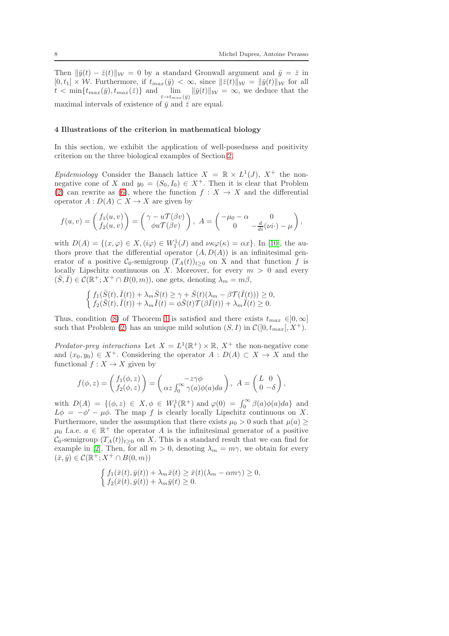Then  $\|\bar{y}(t) - \bar{z}(t)\|_{\mathcal{W}} = 0$  by a standard Gronwall argument and  $\bar{y} = \bar{z}$  in  $[0, t_1] \times \mathcal{W}$ . Furthermore, if  $t_{max}(\bar{y}) < \infty$ , since  $\|\bar{z}(t)\|_{\mathcal{W}} = \|\bar{y}(t)\|_{\mathcal{W}}$  for all  $t < \min\{t_{max}(\bar{y}), t_{max}(\bar{z})\}$  and  $\lim_{t \to t_{max}(\bar{y})} ||\bar{y}(t)||_{\mathcal{W}} = \infty$ , we deduce that the maximal intervals of existence of  $\bar{y}$  and  $\bar{z}$  are equal.

## <span id="page-7-0"></span>4 Illustrations of the criterion in mathematical biology

In this section, we exhibit the application of well-posedness and positivity criterion on the three biological examples of Section [2.](#page-1-1)

Epidemiology Consider the Banach lattice  $X = \mathbb{R} \times L^1(J)$ ,  $X^+$  the nonnegative cone of X and  $y_0 = (S_0, I_0) \in X^+$ . Then it is clear that Problem [\(2\)](#page-2-0) can rewrite as [\(6\)](#page-4-1), where the function  $f: X \to X$  and the differential operator  $A: D(A) \subset X \to X$  are given by

$$
f(u,v) = \begin{pmatrix} f_1(u,v) \\ f_2(u,v) \end{pmatrix} = \begin{pmatrix} \gamma - u\mathcal{T}(\beta v) \\ \phi u\mathcal{T}(\beta v) \end{pmatrix}, A = \begin{pmatrix} -\mu_0 - \alpha & 0 \\ 0 & -\frac{d}{di}(\nu i \cdot) - \mu \end{pmatrix},
$$

with  $D(A) = \{(x, \varphi) \in X, (i\varphi) \in W_1^1(J) \text{ and } \nu \kappa \varphi(\kappa) = \alpha x\}.$  In [\[10\]](#page-9-3), the authors prove that the differential operator  $(A, D(A))$  is an infinitesimal generator of a positive  $\mathcal{C}_0$ -semigroup  $(T_A(t))_{t>0}$  on X and that function f is locally Lipschitz continuous on X. Moreover, for every  $m > 0$  and every  $(\overline{S}, \overline{I}) \in \mathcal{C}(\mathbb{R}^+; X^+ \cap B(0,m))$ , one gets, denoting  $\lambda_m = m\beta$ ,

$$
\begin{cases}\nf_1(\bar{S}(t), \bar{I}(t)) + \lambda_m \bar{S}(t) \geq \gamma + \bar{S}(t)(\lambda_m - \beta \mathcal{T}(\bar{I}(t))) \geq 0, \\
f_2(\bar{S}(t), \bar{I}(t)) + \lambda_m \bar{I}(t) = \phi \bar{S}(t) \mathcal{T}(\beta \bar{I}(t)) + \lambda_m \bar{I}(t) \geq 0.\n\end{cases}
$$

Thus, condition [\(8\)](#page-5-0) of Theorem [1](#page-5-4) is satisfied and there exists  $t_{max} \in ]0, \infty]$ such that Problem [\(2\)](#page-2-0) has an unique mild solution  $(S, I)$  in  $\mathcal{C}([0, t_{max}], X^+).$ 

Predator-prey interactions Let  $X = L^1(\mathbb{R}^+) \times \mathbb{R}$ ,  $X^+$  the non-negative cone and  $(x_0, y_0) \in X^+$ . Considering the operator  $A : D(A) \subset X \to X$  and the functional  $f: X \to X$  given by

$$
f(\phi, z) = \begin{pmatrix} f_1(\phi, z) \\ f_2(\phi, z) \end{pmatrix} = \begin{pmatrix} -z\gamma\phi \\ \alpha z \int_0^\infty \gamma(a)\phi(a)da \end{pmatrix}, A = \begin{pmatrix} L & 0 \\ 0 & -\delta \end{pmatrix},
$$

with  $D(A) = \{(\phi, z) \in X, \phi \in W_1^1(\mathbb{R}^+) \text{ and } \varphi(0) = \int_0^\infty \beta(a)\phi(a)da\}$  and  $L\phi = -\phi' - \mu\phi$ . The map f is clearly locally Lipschitz continuous on X. Furthermore, under the assumption that there exists  $\mu_0 > 0$  such that  $\mu(a) \geq$  $\mu_0$  f.a.e.  $a \in \mathbb{R}^+$  the operator A is the infinitesimal generator of a positive  $\mathcal{C}_0$ -semigroup  $(T_A(t))_{t>0}$  on X. This is a standard result that we can find for example in [\[2\]](#page-8-5). Then, for all  $m > 0$ , denoting  $\lambda_m = m\gamma$ , we obtain for every  $(\bar{x}, \bar{y}) \in \mathcal{C}(\mathbb{R}^+; X^+ \cap B(0, m))$ 

$$
\begin{cases} f_1(\bar{x}(t), \bar{y}(t)) + \lambda_m \bar{x}(t) \ge \bar{x}(t) (\lambda_m - \alpha m \gamma) \ge 0, \\ f_2(\bar{x}(t), \bar{y}(t)) + \lambda_m \bar{y}(t) \ge 0. \end{cases}
$$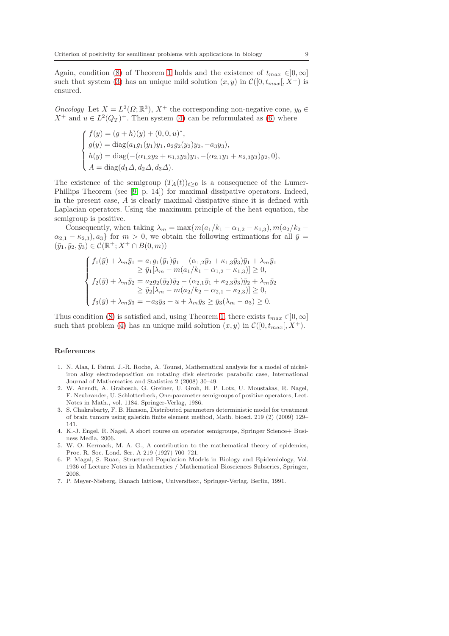Again, condition [\(8\)](#page-5-0) of Theorem [1](#page-5-4) holds and the existence of  $t_{max} \in ]0, \infty]$ such that system [\(3\)](#page-3-0) has an unique mild solution  $(x, y)$  in  $\mathcal{C}([0, t_{max}], X^+)$  is ensured.

Oncology Let  $X = L^2(\Omega; \mathbb{R}^3)$ ,  $X^+$  the corresponding non-negative cone,  $y_0 \in$  $X^+$  and  $u \in L^2(Q_T)^+$ . Then system [\(4\)](#page-3-1) can be reformulated as [\(6\)](#page-4-1) where

$$
\begin{cases}\nf(y) = (g+h)(y) + (0,0,u)^*, \\
g(y) = \text{diag}(a_1g_1(y_1)y_1, a_2g_2(y_2)y_2, -a_3y_3), \\
h(y) = \text{diag}(-(\alpha_{1,2}y_2 + \kappa_{1,3}y_3)y_1, -(\alpha_{2,1}y_1 + \kappa_{2,3}y_3)y_2, 0), \\
A = \text{diag}(d_1\Delta, d_2\Delta, d_3\Delta).\n\end{cases}
$$

The existence of the semigroup  $(T_A(t))_{t>0}$  is a consequence of the Lumer-Phillips Theorem (see [\[9,](#page-9-7) p. 14]) for maximal dissipative operators. Indeed, in the present case, A is clearly maximal dissipative since it is defined with Laplacian operators. Using the maximum principle of the heat equation, the semigroup is positive.

Consequently, when taking  $\lambda_m = \max\{m(a_1/k_1 - a_{1,2} - \kappa_{1,3}), m(a_2/k_2 \alpha_{2,1} - \kappa_{2,3}, \alpha_3$  for  $m > 0$ , we obtain the following estimations for all  $\bar{y} =$  $(\bar{y}_1, \bar{y}_2, \bar{y}_3) \in \mathcal{C}(\mathbb{R}^+; X^+ \cap B(0, m))$ 

$$
\begin{cases}\nf_1(\bar{y}) + \lambda_m \bar{y}_1 = a_1 g_1(\bar{y}_1) \bar{y}_1 - (\alpha_{1,2} \bar{y}_2 + \kappa_{1,3} \bar{y}_3) \bar{y}_1 + \lambda_m \bar{y}_1 \\
\ge \bar{y}_1[\lambda_m - m(a_1/k_1 - \alpha_{1,2} - \kappa_{1,3})] \ge 0, \\
f_2(\bar{y}) + \lambda_m \bar{y}_2 = a_2 g_2(\bar{y}_2) \bar{y}_2 - (\alpha_{2,1} \bar{y}_1 + \kappa_{2,3} \bar{y}_3) \bar{y}_2 + \lambda_m \bar{y}_2 \\
\ge \bar{y}_2[\lambda_m - m(a_2/k_2 - \alpha_{2,1} - \kappa_{2,3})] \ge 0, \\
f_3(\bar{y}) + \lambda_m \bar{y}_3 = -a_3 \bar{y}_3 + u + \lambda_m \bar{y}_3 \ge \bar{y}_3(\lambda_m - a_3) \ge 0.\n\end{cases}
$$

Thus condition [\(8\)](#page-5-0) is satisfied and, using Theorem [1,](#page-5-4) there exists  $t_{max} \in ]0, \infty]$ such that problem [\(4\)](#page-3-1) has an unique mild solution  $(x, y)$  in  $\mathcal{C}([0, t_{max}], X^+)$ .

#### References

- <span id="page-8-0"></span>1. N. Alaa, I. Fatmi, J.-R. Roche, A. Tounsi, Mathematical analysis for a model of nickeliron alloy electrodeposition on rotating disk electrode: parabolic case, International Journal of Mathematics and Statistics 2 (2008) 30–49.
- <span id="page-8-5"></span>2. W. Arendt, A. Grabosch, G. Greiner, U. Groh, H. P. Lotz, U. Moustakas, R. Nagel, F. Neubrander, U. Schlotterbeck, One-parameter semigroups of positive operators, Lect. Notes in Math., vol. 1184. Springer-Verlag, 1986.
- <span id="page-8-3"></span>3. S. Chakrabarty, F. B. Hanson, Distributed parameters deterministic model for treatment of brain tumors using galerkin finite element method, Math. biosci. 219 (2) (2009) 129– 141.
- 4. K.-J. Engel, R. Nagel, A short course on operator semigroups, Springer Science+ Business Media, 2006.
- <span id="page-8-2"></span>5. W. O. Kermack, M. A. G., A contribution to the mathematical theory of epidemics, Proc. R. Soc. Lond. Ser. A 219 (1927) 700–721.
- <span id="page-8-1"></span>6. P. Magal, S. Ruan, Structured Population Models in Biology and Epidemiology, Vol. 1936 of Lecture Notes in Mathematics / Mathematical Biosciences Subseries, Springer, 2008.
- <span id="page-8-4"></span>7. P. Meyer-Nieberg, Banach lattices, Universitext, Springer-Verlag, Berlin, 1991.